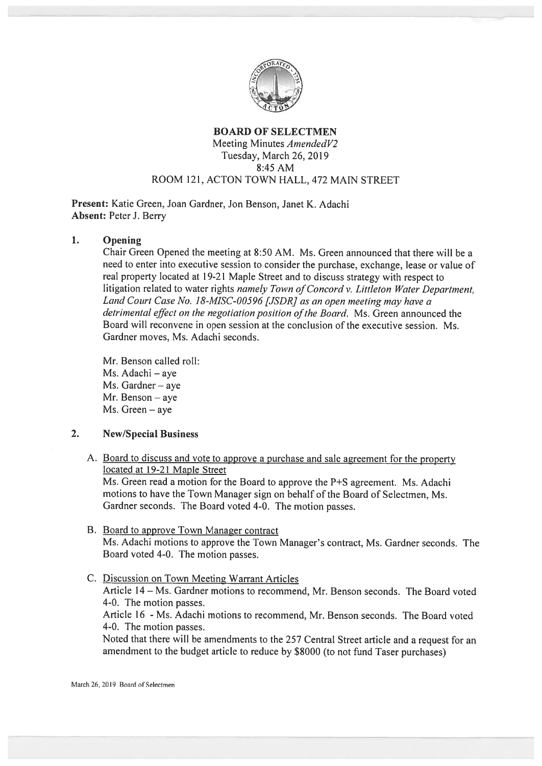

#### BOARD OF SELECTMEN Meeting Minutes AmendedV2 Tuesday, March 26, 2019 8:45 AM ROOM 121, ACTON TOWN HALL, 472 MAIN STREET

Present: Katie Green, Joan Gardner, Jon Benson, Janet K. Adachi Absent: Peter J. Berry

## 1. Opening

Chair Green Opened the meeting at 8:50 AM. Ms. Green announced that there will be <sup>a</sup> need to enter into executive session to consider the purchase, exchange, lease or value of real property located at 19-21 Maple Street and to discuss strategy with respect to litigation related to water rights namely Town of Concord v. Littleton Water Department, Land Court Case No. 18-MISC-00596 [JSDRJ as an open meeting may have <sup>a</sup> detrimental effect on the negotiation position of the Board. Ms. Green announced the Board will reconvene in open session at the conclusion of the executive session. Ms. Gardner moves, Ms. Adachi seconds.

Mr. Benson called roll: Ms. Adachi – aye Ms. Gardner — aye Mr. Benson — aye Ms. Green — aye

### 2. New/Special Business

A. Board to discuss and vote to approve <sup>a</sup> purchase and sale agreemen<sup>t</sup> for the property located at 19-21 Maple Street

Ms. Green read <sup>a</sup> motion for the Board to approve the P+S agreement. Ms. Adachi motions to have the Town Manager sign on behalf of the Board of Selectmen, Ms. Gardner seconds. The Board voted 4-0. The motion passes.

- B. Board to approve Town Manager contract Ms. Adachi motions to approve the Town Manager's contract. Ms. Gardner seconds. The Board voted 4-0. The motion passes.
- C. Discussion on Town Meeting Warrant Articles Article 14— Ms. Gardner motions to recommend, Mr. Benson seconds. The Board voted 4-0. The motion passes. Article 16 - Ms. Adachi motions to recommend, Mr. Benson seconds. The Board voted 4-0. The motion passes. Noted that there will be amendments to the <sup>257</sup> Central Street article and <sup>a</sup> reques<sup>t</sup> for an amendment to the budget article to reduce by \$8000 (to not fund Taser purchases)

March 26, 2019 Board of Selectmen